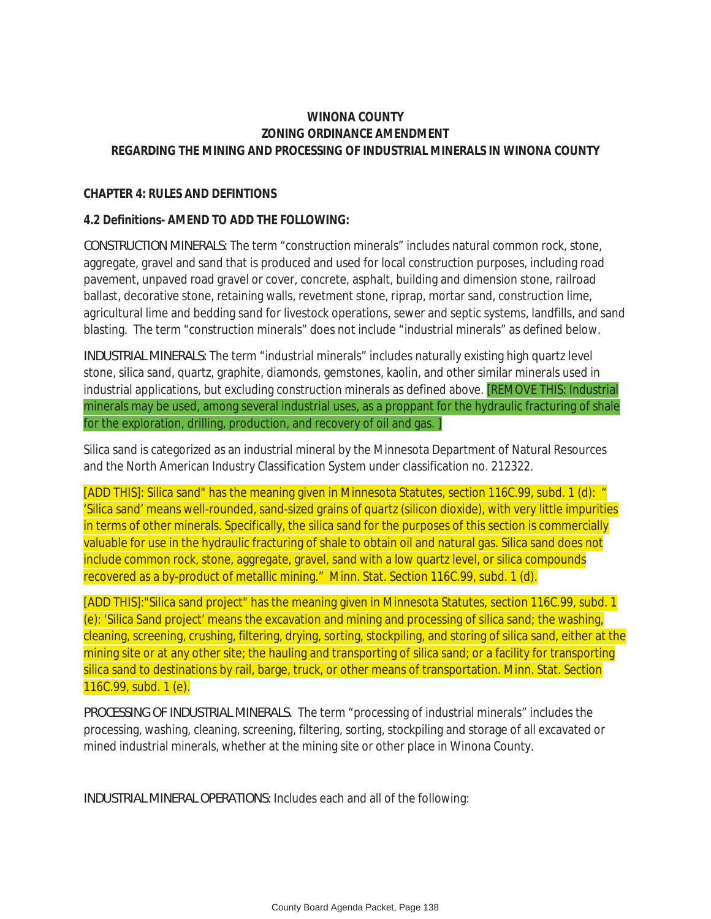#### **WINONA COUNTY ZONING ORDINANCE AMENDMENT REGARDING THE MINING AND PROCESSING OF INDUSTRIAL MINERALS IN WINONA COUNTY**

#### **CHAPTER 4: RULES AND DEFINTIONS**

#### **4.2 Definitions- AMEND TO ADD THE FOLLOWING:**

*CONSTRUCTION MINERALS:* The term "construction minerals" includes natural common rock, stone, aggregate, gravel and sand that is produced and used for local construction purposes, including road pavement, unpaved road gravel or cover, concrete, asphalt, building and dimension stone, railroad ballast, decorative stone, retaining walls, revetment stone, riprap, mortar sand, construction lime, agricultural lime and bedding sand for livestock operations, sewer and septic systems, landfills, and sand blasting. The term "construction minerals" does not include "industrial minerals" as defined below.

*INDUSTRIAL MINERALS:* The term "industrial minerals" includes naturally existing high quartz level stone, silica sand, quartz, graphite, diamonds, gemstones, kaolin, and other similar minerals used in industrial applications, but excluding construction minerals as defined above. [REMOVE THIS: Industrial minerals may be used, among several industrial uses, as a proppant for the hydraulic fracturing of shale for the exploration, drilling, production, and recovery of oil and gas. ]

Silica sand is categorized as an industrial mineral by the Minnesota Department of Natural Resources and the North American Industry Classification System under classification no. 212322.

[ADD THIS]: Silica sand" has the meaning given in Minnesota Statutes, section 116C.99, subd. 1 (d): " 'Silica sand' means well-rounded, sand-sized grains of quartz (silicon dioxide), with very little impurities in terms of other minerals. Specifically, the silica sand for the purposes of this section is commercially valuable for use in the hydraulic fracturing of shale to obtain oil and natural gas. Silica sand does not include common rock, stone, aggregate, gravel, sand with a low quartz level, or silica compounds recovered as a by-product of metallic mining." Minn. Stat. Section 116C.99, subd. 1 (d).

[ADD THIS]:"Silica sand project" has the meaning given in Minnesota Statutes, section 116C.99, subd. 1 (e): 'Silica Sand project' means the excavation and mining and processing of silica sand; the washing, cleaning, screening, crushing, filtering, drying, sorting, stockpiling, and storing of silica sand, either at the mining site or at any other site; the hauling and transporting of silica sand; or a facility for transporting silica sand to destinations by rail, barge, truck, or other means of transportation. Minn. Stat. Section 116C.99, subd. 1 (e).

*PROCESSING OF INDUSTRIAL MINERALS.* The term "processing of industrial minerals" includes the processing, washing, cleaning, screening, filtering, sorting, stockpiling and storage of all excavated or mined industrial minerals, whether at the mining site or other place in Winona County.

*INDUSTRIAL MINERAL OPERATIONS:* Includes each and all of the following: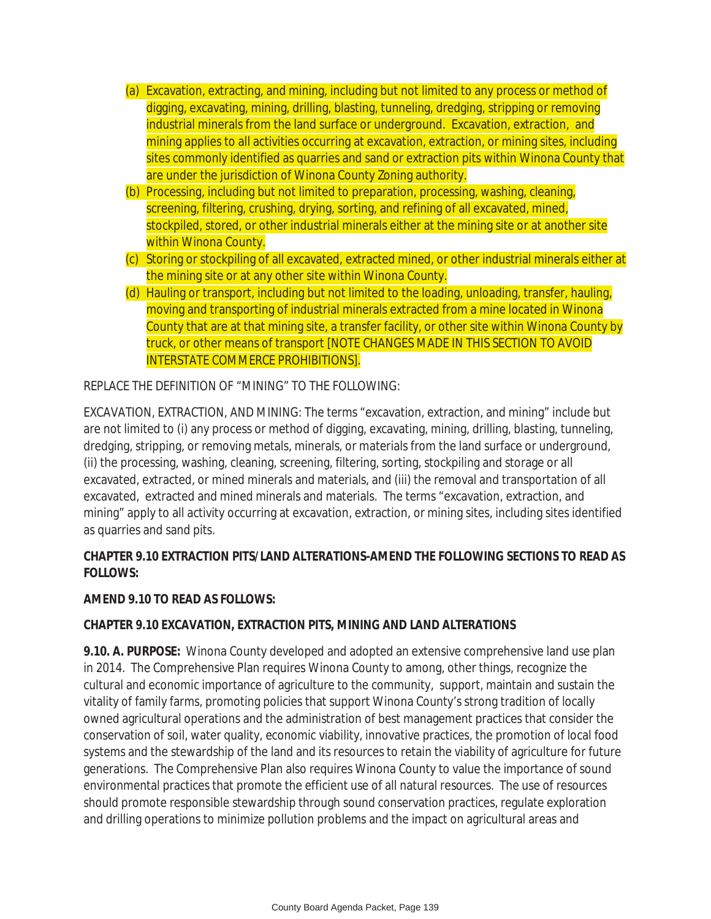- (a) Excavation, extracting, and mining, including but not limited to any process or method of digging, excavating, mining, drilling, blasting, tunneling, dredging, stripping or removing industrial minerals from the land surface or underground. Excavation, extraction, and mining applies to all activities occurring at excavation, extraction, or mining sites, including sites commonly identified as quarries and sand or extraction pits within Winona County that are under the jurisdiction of Winona County Zoning authority.
- (b) Processing, including but not limited to preparation, processing, washing, cleaning, screening, filtering, crushing, drying, sorting, and refining of all excavated, mined, stockpiled, stored, or other industrial minerals either at the mining site or at another site within Winona County.
- (c) Storing or stockpiling of all excavated, extracted mined, or other industrial minerals either at the mining site or at any other site within Winona County.
- (d) Hauling or transport, including but not limited to the loading, unloading, transfer, hauling, moving and transporting of industrial minerals extracted from a mine located in Winona County that are at that mining site, a transfer facility, or other site within Winona County by truck, or other means of transport [NOTE CHANGES MADE IN THIS SECTION TO AVOID INTERSTATE COMMERCE PROHIBITIONS].

REPLACE THE DEFINITION OF "MINING" TO THE FOLLOWING:

EXCAVATION, EXTRACTION, AND MINING: The terms "excavation, extraction, and mining" include but are not limited to (i) any process or method of digging, excavating, mining, drilling, blasting, tunneling, dredging, stripping, or removing metals, minerals, or materials from the land surface or underground, (ii) the processing, washing, cleaning, screening, filtering, sorting, stockpiling and storage or all excavated, extracted, or mined minerals and materials, and (iii) the removal and transportation of all excavated, extracted and mined minerals and materials. The terms "excavation, extraction, and mining" apply to all activity occurring at excavation, extraction, or mining sites, including sites identified as quarries and sand pits.

# **CHAPTER 9.10 EXTRACTION PITS/LAND ALTERATIONS-AMEND THE FOLLOWING SECTIONS TO READ AS FOLLOWS:**

## **AMEND 9.10 TO READ AS FOLLOWS:**

## **CHAPTER 9.10 EXCAVATION, EXTRACTION PITS, MINING AND LAND ALTERATIONS**

**9.10. A. PURPOSE:** Winona County developed and adopted an extensive comprehensive land use plan in 2014. The Comprehensive Plan requires Winona County to among, other things, recognize the cultural and economic importance of agriculture to the community, support, maintain and sustain the vitality of family farms, promoting policies that support Winona County's strong tradition of locally owned agricultural operations and the administration of best management practices that consider the conservation of soil, water quality, economic viability, innovative practices, the promotion of local food systems and the stewardship of the land and its resources to retain the viability of agriculture for future generations. The Comprehensive Plan also requires Winona County to value the importance of sound environmental practices that promote the efficient use of all natural resources. The use of resources should promote responsible stewardship through sound conservation practices, regulate exploration and drilling operations to minimize pollution problems and the impact on agricultural areas and